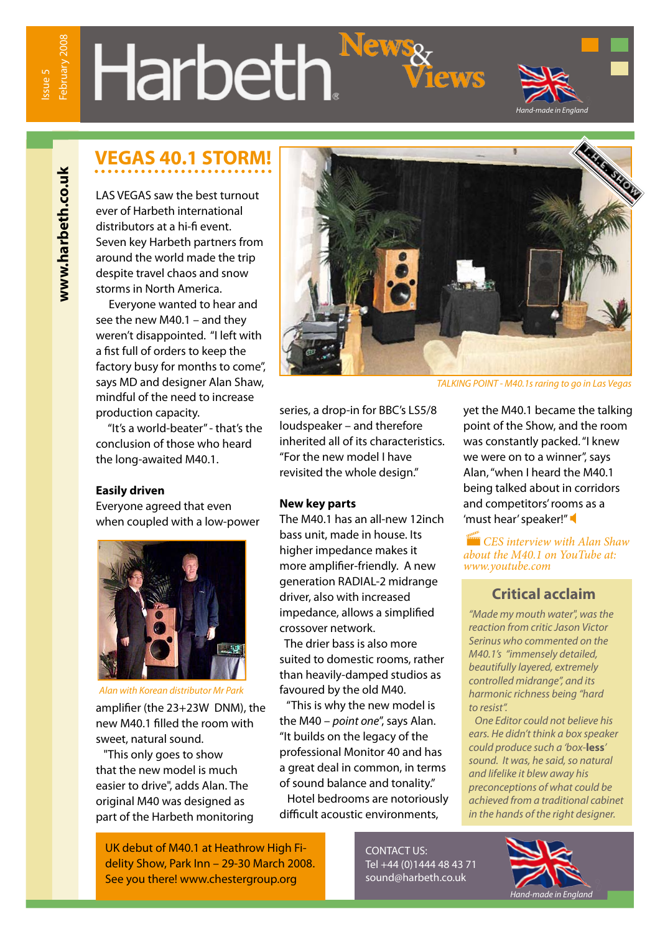# Harbeth.<sup>Ne</sup>



# **VEGAS 40.1 STORM!**

LAS VEGAS saw the best turnout ever of Harbeth international distributors at a hi-fi event. Seven key Harbeth partners from around the world made the trip despite travel chaos and snow storms in North America.

 Everyone wanted to hear and see the new M40.1 – and they weren't disappointed. "I left with a fist full of orders to keep the factory busy for months to come", says MD and designer Alan Shaw, mindful of the need to increase production capacity.

 "It's a world-beater" - that's the conclusion of those who heard the long-awaited M40.1.

#### **Easily driven**

Everyone agreed that even when coupled with a low-power



amplifier (the 23+23W DNM), the new M40.1 filled the room with sweet, natural sound. *Alan with Korean distributor Mr Park*

 "This only goes to show that the new model is much easier to drive", adds Alan. The original M40 was designed as part of the Harbeth monitoring

UK debut of M40.1 at Heathrow High Fidelity Show, Park Inn – 29-30 March 2008. See you there! www.chestergroup.org



*TALKING POINT - M40.1s raring to go in Las Vegas*

series, a drop-in for BBC's LS5/8 loudspeaker – and therefore inherited all of its characteristics. "For the new model I have revisited the whole design."

#### **New key parts**

The M40.1 has an all-new 12inch bass unit, made in house. Its higher impedance makes it more amplifier-friendly. A new generation RADIAL-2 midrange driver, also with increased impedance, allows a simplified crossover network.

 The drier bass is also more suited to domestic rooms, rather than heavily-damped studios as favoured by the old M40.

 "This is why the new model is the M40 – *point one*", says Alan. "It builds on the legacy of the professional Monitor 40 and has a great deal in common, in terms of sound balance and tonality."

 Hotel bedrooms are notoriously difficult acoustic environments,

yet the M40.1 became the talking point of the Show, and the room was constantly packed. "I knew we were on to a winner", says Alan, "when I heard the M40.1 being talked about in corridors and competitors' rooms as a 'must hear' speaker!"

*CES interview with Alan Shaw about the M40.1 on YouTube at: www.youtube.com/watch?v=6cbGKsf2TqI*

#### **Critical acclaim**

*"Made my mouth water", was the reaction from critic Jason Victor Serinus who commented on the M40.1's "immensely detailed, beautifully layered, extremely controlled midrange", and its harmonic richness being "hard to resist".* 

 *One Editor could not believe his ears. He didn't think a box speaker could produce such a 'box-***less***' sound. It was, he said, so natural and lifelike it blew away his preconceptions of what could be achieved from a traditional cabinet in the hands of the right designer.*

CONTACT US: Tel +44 (0)1444 48 43 71 sound@harbeth.co.uk